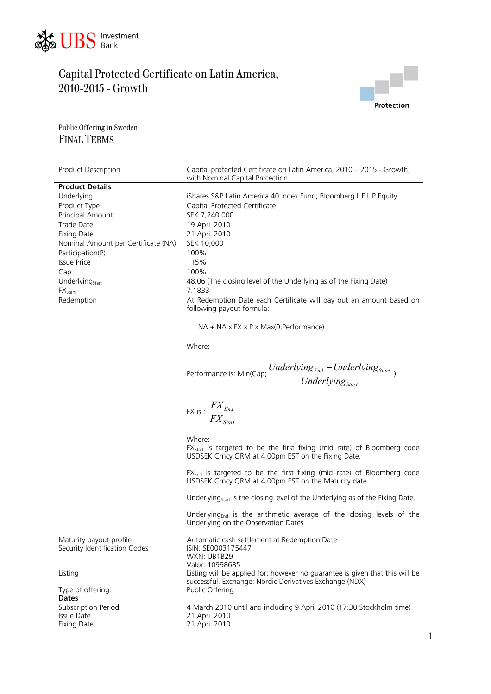



Public Offering in Sweden FINAL TERMS

| Product Description                                      | Capital protected Certificate on Latin America, 2010 - 2015 - Growth;<br>with Nominal Capital Protection.                                           |
|----------------------------------------------------------|-----------------------------------------------------------------------------------------------------------------------------------------------------|
| <b>Product Details</b>                                   |                                                                                                                                                     |
| Underlying                                               | iShares S&P Latin America 40 Index Fund; Bloomberg ILF UP Equity                                                                                    |
| Product Type                                             | Capital Protected Certificate                                                                                                                       |
| Principal Amount                                         | SEK 7,240,000                                                                                                                                       |
| Trade Date                                               | 19 April 2010                                                                                                                                       |
| <b>Fixing Date</b>                                       | 21 April 2010                                                                                                                                       |
| Nominal Amount per Certificate (NA)                      | SEK 10,000                                                                                                                                          |
| Participation(P)                                         | 100%                                                                                                                                                |
| <b>Issue Price</b>                                       | 115%                                                                                                                                                |
| Cap                                                      | 100%                                                                                                                                                |
| Underlying <sub>Start</sub>                              | 48.06 (The closing level of the Underlying as of the Fixing Date)                                                                                   |
| $FX_{Start}$                                             | 7.1833                                                                                                                                              |
| Redemption                                               | At Redemption Date each Certificate will pay out an amount based on<br>following payout formula:                                                    |
|                                                          | NA + NA x FX x P x Max(0; Performance)                                                                                                              |
|                                                          | Where:                                                                                                                                              |
|                                                          | Performance is: Min(Cap; $\frac{Underlying_{End} - Underlying_{Start}}{Underlying_{Start}}$ )                                                       |
|                                                          | FX is : $\frac{FX_{End}}{FX_{start}}$                                                                                                               |
|                                                          | Where:<br>FX <sub>Start</sub> is targeted to be the first fixing (mid rate) of Bloomberg code<br>USDSEK Crncy QRM at 4.00pm EST on the Fixing Date. |
|                                                          | FX <sub>End</sub> is targeted to be the first fixing (mid rate) of Bloomberg code<br>USDSEK Crncy QRM at 4.00pm EST on the Maturity date.           |
|                                                          | Underlying <sub>start</sub> is the closing level of the Underlying as of the Fixing Date.                                                           |
|                                                          | Underlying <sub>End</sub> is the arithmetic average of the closing levels of the<br>Underlying on the Observation Dates                             |
| Maturity payout profile<br>Security Identification Codes | Automatic cash settlement at Redemption Date<br>ISIN: SE0003175447<br>WKN: UB1B29<br>Valor: 10998685                                                |
| Listing                                                  | Listing will be applied for; however no guarantee is given that this will be<br>successful. Exchange: Nordic Derivatives Exchange (NDX)             |
| Type of offering:<br><b>Dates</b>                        | Public Offering                                                                                                                                     |
| Subscription Period                                      | 4 March 2010 until and including 9 April 2010 (17:30 Stockholm time)                                                                                |
| Issue Date                                               | 21 April 2010                                                                                                                                       |
| <b>Fixing Date</b>                                       | 21 April 2010                                                                                                                                       |
|                                                          |                                                                                                                                                     |

1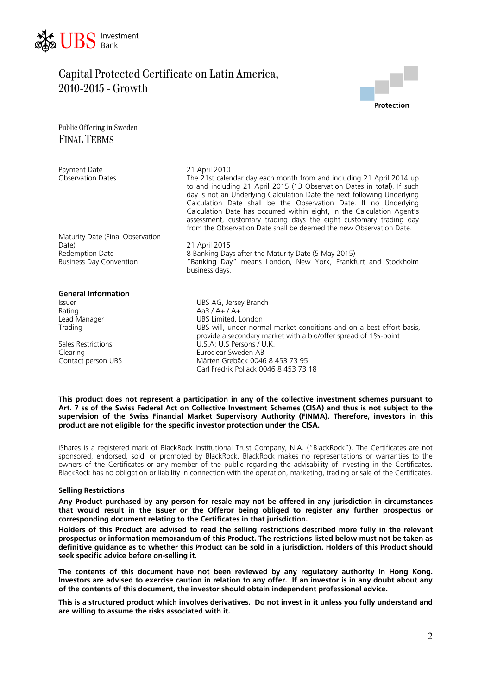



Public Offering in Sweden FINAL TERMS

| Payment Date<br><b>Observation Dates</b>          | 21 April 2010<br>The 21st calendar day each month from and including 21 April 2014 up<br>to and including 21 April 2015 (13 Observation Dates in total). If such<br>day is not an Underlying Calculation Date the next following Underlying<br>Calculation Date shall be the Observation Date. If no Underlying<br>Calculation Date has occurred within eight, in the Calculation Agent's<br>assessment, customary trading days the eight customary trading day<br>from the Observation Date shall be deemed the new Observation Date. |
|---------------------------------------------------|----------------------------------------------------------------------------------------------------------------------------------------------------------------------------------------------------------------------------------------------------------------------------------------------------------------------------------------------------------------------------------------------------------------------------------------------------------------------------------------------------------------------------------------|
| Maturity Date (Final Observation                  |                                                                                                                                                                                                                                                                                                                                                                                                                                                                                                                                        |
| Date)                                             | 21 April 2015                                                                                                                                                                                                                                                                                                                                                                                                                                                                                                                          |
| Redemption Date<br><b>Business Day Convention</b> | 8 Banking Days after the Maturity Date (5 May 2015)<br>"Banking Day" means London, New York, Frankfurt and Stockholm<br>business days.                                                                                                                                                                                                                                                                                                                                                                                                 |

#### **General Information**

Rating Manager (Aa3 / A+ / A+<br>
Lead Manager (Aa3 / A+ / A+

Issuer UBS AG, Jersey Branch

UBS Limited, London Trading UBS will, under normal market conditions and on a best effort basis, provide a secondary market with a bid/offer spread of 1%-point Sales Restrictions U.S.A; U.S Persons / U.K. Clearing<br>
Contact person UBS<br>
Contact person UBS<br>
Contact person UBS Mårten Grebäck 0046 8 453 73 95 Carl Fredrik Pollack 0046 8 453 73 18

**This product does not represent a participation in any of the collective investment schemes pursuant to Art. 7 ss of the Swiss Federal Act on Collective Investment Schemes (CISA) and thus is not subject to the supervision of the Swiss Financial Market Supervisory Authority (FINMA). Therefore, investors in this product are not eligible for the specific investor protection under the CISA.** 

iShares is a registered mark of BlackRock Institutional Trust Company, N.A. ("BlackRock"). The Certificates are not sponsored, endorsed, sold, or promoted by BlackRock. BlackRock makes no representations or warranties to the owners of the Certificates or any member of the public regarding the advisability of investing in the Certificates. BlackRock has no obligation or liability in connection with the operation, marketing, trading or sale of the Certificates.

#### **Selling Restrictions**

**Any Product purchased by any person for resale may not be offered in any jurisdiction in circumstances that would result in the Issuer or the Offeror being obliged to register any further prospectus or corresponding document relating to the Certificates in that jurisdiction.** 

**Holders of this Product are advised to read the selling restrictions described more fully in the relevant prospectus or information memorandum of this Product. The restrictions listed below must not be taken as definitive guidance as to whether this Product can be sold in a jurisdiction. Holders of this Product should seek specific advice before on-selling it.** 

**The contents of this document have not been reviewed by any regulatory authority in Hong Kong. Investors are advised to exercise caution in relation to any offer. If an investor is in any doubt about any of the contents of this document, the investor should obtain independent professional advice.** 

**This is a structured product which involves derivatives. Do not invest in it unless you fully understand and are willing to assume the risks associated with it.**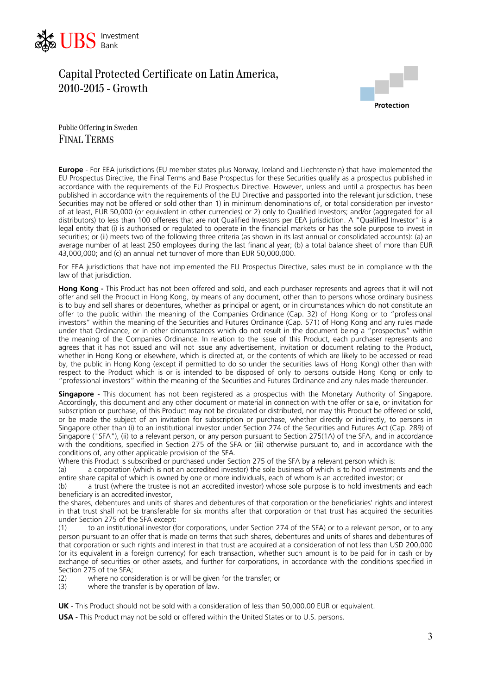



Public Offering in Sweden FINAL TERMS

**Europe** - For EEA jurisdictions (EU member states plus Norway, Iceland and Liechtenstein) that have implemented the EU Prospectus Directive, the Final Terms and Base Prospectus for these Securities qualify as a prospectus published in accordance with the requirements of the EU Prospectus Directive. However, unless and until a prospectus has been published in accordance with the requirements of the EU Directive and passported into the relevant jurisdiction, these Securities may not be offered or sold other than 1) in minimum denominations of, or total consideration per investor of at least, EUR 50,000 (or equivalent in other currencies) or 2) only to Qualified Investors; and/or (aggregated for all distributors) to less than 100 offerees that are not Qualified Investors per EEA jurisdiction. A "Qualified Investor" is a legal entity that (i) is authorised or regulated to operate in the financial markets or has the sole purpose to invest in securities; or (ii) meets two of the following three criteria (as shown in its last annual or consolidated accounts): (a) an average number of at least 250 employees during the last financial year; (b) a total balance sheet of more than EUR 43,000,000; and (c) an annual net turnover of more than EUR 50,000,000.

For EEA jurisdictions that have not implemented the EU Prospectus Directive, sales must be in compliance with the law of that jurisdiction.

**Hong Kong -** This Product has not been offered and sold, and each purchaser represents and agrees that it will not offer and sell the Product in Hong Kong, by means of any document, other than to persons whose ordinary business is to buy and sell shares or debentures, whether as principal or agent, or in circumstances which do not constitute an offer to the public within the meaning of the Companies Ordinance (Cap. 32) of Hong Kong or to "professional investors" within the meaning of the Securities and Futures Ordinance (Cap. 571) of Hong Kong and any rules made under that Ordinance, or in other circumstances which do not result in the document being a "prospectus" within the meaning of the Companies Ordinance. In relation to the issue of this Product, each purchaser represents and agrees that it has not issued and will not issue any advertisement, invitation or document relating to the Product, whether in Hong Kong or elsewhere, which is directed at, or the contents of which are likely to be accessed or read by, the public in Hong Kong (except if permitted to do so under the securities laws of Hong Kong) other than with respect to the Product which is or is intended to be disposed of only to persons outside Hong Kong or only to "professional investors" within the meaning of the Securities and Futures Ordinance and any rules made thereunder.

**Singapore** - This document has not been registered as a prospectus with the Monetary Authority of Singapore. Accordingly, this document and any other document or material in connection with the offer or sale, or invitation for subscription or purchase, of this Product may not be circulated or distributed, nor may this Product be offered or sold, or be made the subject of an invitation for subscription or purchase, whether directly or indirectly, to persons in Singapore other than (i) to an institutional investor under Section 274 of the Securities and Futures Act (Cap. 289) of Singapore ("SFA"), (ii) to a relevant person, or any person pursuant to Section 275(1A) of the SFA, and in accordance with the conditions, specified in Section 275 of the SFA or (iii) otherwise pursuant to, and in accordance with the conditions of, any other applicable provision of the SFA.

Where this Product is subscribed or purchased under Section 275 of the SFA by a relevant person which is:

(a) a corporation (which is not an accredited investor) the sole business of which is to hold investments and the entire share capital of which is owned by one or more individuals, each of whom is an accredited investor; or

(b) a trust (where the trustee is not an accredited investor) whose sole purpose is to hold investments and each beneficiary is an accredited investor,

the shares, debentures and units of shares and debentures of that corporation or the beneficiaries' rights and interest in that trust shall not be transferable for six months after that corporation or that trust has acquired the securities under Section 275 of the SFA except:

(1) to an institutional investor (for corporations, under Section 274 of the SFA) or to a relevant person, or to any person pursuant to an offer that is made on terms that such shares, debentures and units of shares and debentures of that corporation or such rights and interest in that trust are acquired at a consideration of not less than USD 200,000 (or its equivalent in a foreign currency) for each transaction, whether such amount is to be paid for in cash or by exchange of securities or other assets, and further for corporations, in accordance with the conditions specified in Section 275 of the SFA;

 $(2)$  where no consideration is or will be given for the transfer; or  $(3)$  where the transfer is by operation of law

where the transfer is by operation of law.

**UK** - This Product should not be sold with a consideration of less than 50,000.00 EUR or equivalent.

**USA** - This Product may not be sold or offered within the United States or to U.S. persons.